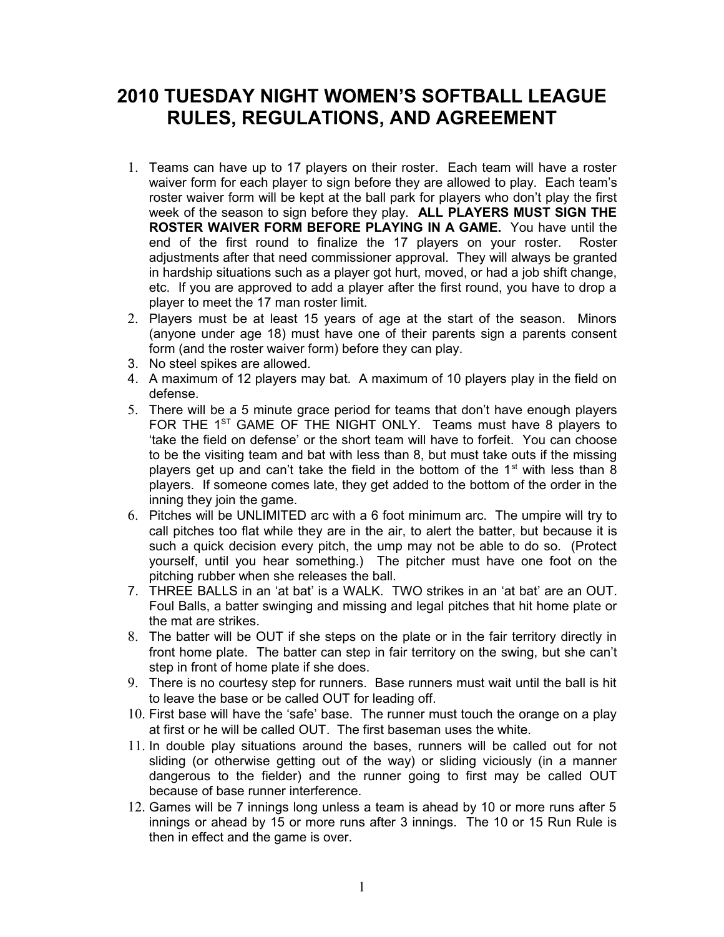## **2010 TUESDAY NIGHT WOMEN'S SOFTBALL LEAGUE RULES, REGULATIONS, AND AGREEMENT**

- 1. Teams can have up to 17 players on their roster. Each team will have a roster waiver form for each player to sign before they are allowed to play. Each team's roster waiver form will be kept at the ball park for players who don't play the first week of the season to sign before they play. **ALL PLAYERS MUST SIGN THE ROSTER WAIVER FORM BEFORE PLAYING IN A GAME.** You have until the end of the first round to finalize the 17 players on your roster. Roster adjustments after that need commissioner approval. They will always be granted in hardship situations such as a player got hurt, moved, or had a job shift change, etc. If you are approved to add a player after the first round, you have to drop a player to meet the 17 man roster limit.
- 2. Players must be at least 15 years of age at the start of the season. Minors (anyone under age 18) must have one of their parents sign a parents consent form (and the roster waiver form) before they can play.
- 3. No steel spikes are allowed.
- 4. A maximum of 12 players may bat. A maximum of 10 players play in the field on defense.
- 5. There will be a 5 minute grace period for teams that don't have enough players FOR THE 1<sup>ST</sup> GAME OF THE NIGHT ONLY. Teams must have 8 players to 'take the field on defense' or the short team will have to forfeit. You can choose to be the visiting team and bat with less than 8, but must take outs if the missing players get up and can't take the field in the bottom of the  $1<sup>st</sup>$  with less than 8 players. If someone comes late, they get added to the bottom of the order in the inning they join the game.
- 6. Pitches will be UNLIMITED arc with a 6 foot minimum arc. The umpire will try to call pitches too flat while they are in the air, to alert the batter, but because it is such a quick decision every pitch, the ump may not be able to do so. (Protect yourself, until you hear something.) The pitcher must have one foot on the pitching rubber when she releases the ball.
- 7. THREE BALLS in an 'at bat' is a WALK. TWO strikes in an 'at bat' are an OUT. Foul Balls, a batter swinging and missing and legal pitches that hit home plate or the mat are strikes.
- 8. The batter will be OUT if she steps on the plate or in the fair territory directly in front home plate. The batter can step in fair territory on the swing, but she can't step in front of home plate if she does.
- 9. There is no courtesy step for runners. Base runners must wait until the ball is hit to leave the base or be called OUT for leading off.
- 10. First base will have the 'safe' base. The runner must touch the orange on a play at first or he will be called OUT. The first baseman uses the white.
- 11. In double play situations around the bases, runners will be called out for not sliding (or otherwise getting out of the way) or sliding viciously (in a manner dangerous to the fielder) and the runner going to first may be called OUT because of base runner interference.
- 12. Games will be 7 innings long unless a team is ahead by 10 or more runs after 5 innings or ahead by 15 or more runs after 3 innings. The 10 or 15 Run Rule is then in effect and the game is over.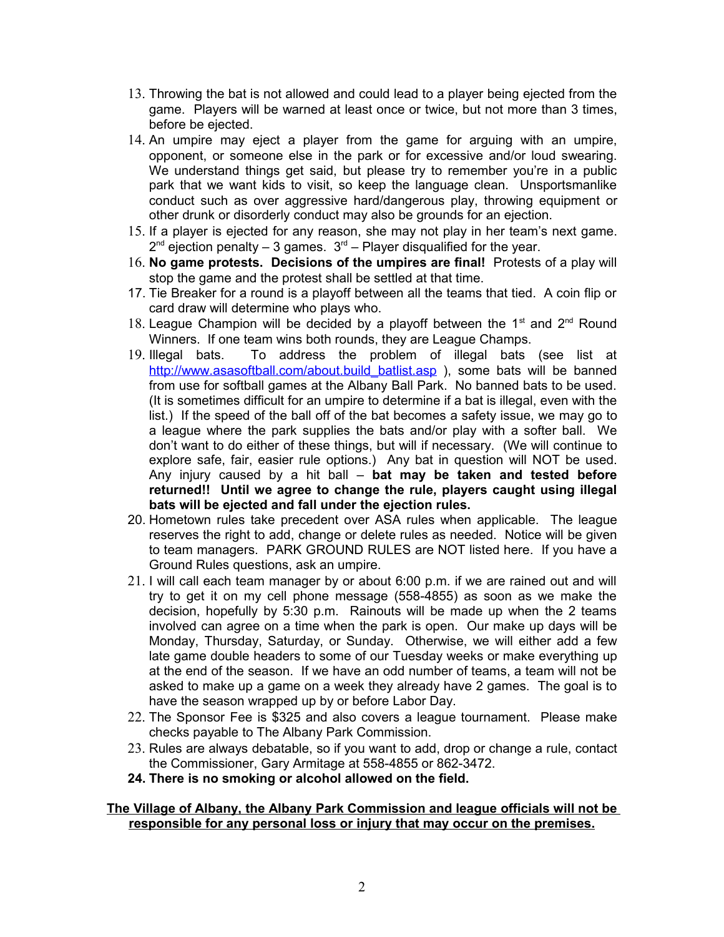- 13. Throwing the bat is not allowed and could lead to a player being ejected from the game. Players will be warned at least once or twice, but not more than 3 times, before be ejected.
- 14. An umpire may eject a player from the game for arguing with an umpire, opponent, or someone else in the park or for excessive and/or loud swearing. We understand things get said, but please try to remember you're in a public park that we want kids to visit, so keep the language clean. Unsportsmanlike conduct such as over aggressive hard/dangerous play, throwing equipment or other drunk or disorderly conduct may also be grounds for an ejection.
- 15. If a player is ejected for any reason, she may not play in her team's next game.  $2^{nd}$  ejection penalty – 3 games.  $3^{rd}$  – Player disqualified for the year.
- 16. **No game protests. Decisions of the umpires are final!** Protests of a play will stop the game and the protest shall be settled at that time.
- 17. Tie Breaker for a round is a playoff between all the teams that tied. A coin flip or card draw will determine who plays who.
- 18. League Champion will be decided by a playoff between the  $1<sup>st</sup>$  and  $2<sup>nd</sup>$  Round Winners. If one team wins both rounds, they are League Champs.
- 19. Illegal bats. To address the problem of illegal bats (see list at [http://www.asasoftball.com/about.build\\_batlist.asp](http://www.asasoftball.com/about.build_batlist.asp) ), some bats will be banned from use for softball games at the Albany Ball Park. No banned bats to be used. (It is sometimes difficult for an umpire to determine if a bat is illegal, even with the list.) If the speed of the ball off of the bat becomes a safety issue, we may go to a league where the park supplies the bats and/or play with a softer ball. We don't want to do either of these things, but will if necessary. (We will continue to explore safe, fair, easier rule options.) Any bat in question will NOT be used. Any injury caused by a hit ball – **bat may be taken and tested before returned!! Until we agree to change the rule, players caught using illegal bats will be ejected and fall under the ejection rules.**
- 20. Hometown rules take precedent over ASA rules when applicable. The league reserves the right to add, change or delete rules as needed. Notice will be given to team managers. PARK GROUND RULES are NOT listed here. If you have a Ground Rules questions, ask an umpire.
- 21. I will call each team manager by or about 6:00 p.m. if we are rained out and will try to get it on my cell phone message (558-4855) as soon as we make the decision, hopefully by 5:30 p.m. Rainouts will be made up when the 2 teams involved can agree on a time when the park is open. Our make up days will be Monday, Thursday, Saturday, or Sunday. Otherwise, we will either add a few late game double headers to some of our Tuesday weeks or make everything up at the end of the season. If we have an odd number of teams, a team will not be asked to make up a game on a week they already have 2 games. The goal is to have the season wrapped up by or before Labor Day.
- 22. The Sponsor Fee is \$325 and also covers a league tournament. Please make checks payable to The Albany Park Commission.
- 23. Rules are always debatable, so if you want to add, drop or change a rule, contact the Commissioner, Gary Armitage at 558-4855 or 862-3472.
- **24. There is no smoking or alcohol allowed on the field.**

## **The Village of Albany, the Albany Park Commission and league officials will not be responsible for any personal loss or injury that may occur on the premises.**